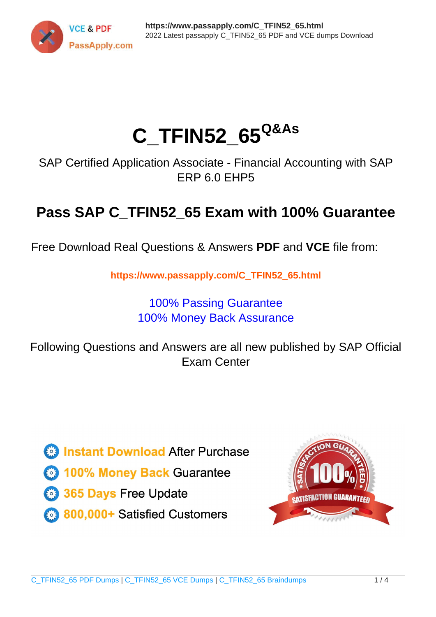

# **C\_TFIN52\_65Q&As**

SAP Certified Application Associate - Financial Accounting with SAP ERP 6.0 EHP5

## **Pass SAP C\_TFIN52\_65 Exam with 100% Guarantee**

Free Download Real Questions & Answers **PDF** and **VCE** file from:

**https://www.passapply.com/C\_TFIN52\_65.html**

### 100% Passing Guarantee 100% Money Back Assurance

Following Questions and Answers are all new published by SAP Official Exam Center

**Colonization** Download After Purchase

- **@ 100% Money Back Guarantee**
- **63 365 Days Free Update**
- 800,000+ Satisfied Customers

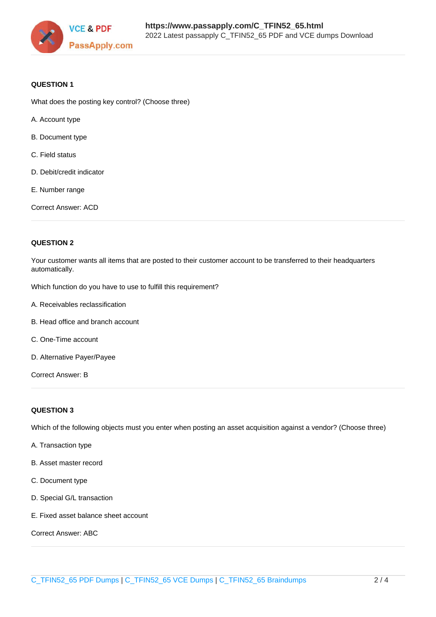

#### **QUESTION 1**

What does the posting key control? (Choose three)

- A. Account type
- B. Document type
- C. Field status
- D. Debit/credit indicator
- E. Number range

Correct Answer: ACD

#### **QUESTION 2**

Your customer wants all items that are posted to their customer account to be transferred to their headquarters automatically.

Which function do you have to use to fulfill this requirement?

- A. Receivables reclassification
- B. Head office and branch account
- C. One-Time account
- D. Alternative Payer/Payee

Correct Answer: B

#### **QUESTION 3**

Which of the following objects must you enter when posting an asset acquisition against a vendor? (Choose three)

- A. Transaction type
- B. Asset master record
- C. Document type
- D. Special G/L transaction
- E. Fixed asset balance sheet account

Correct Answer: ABC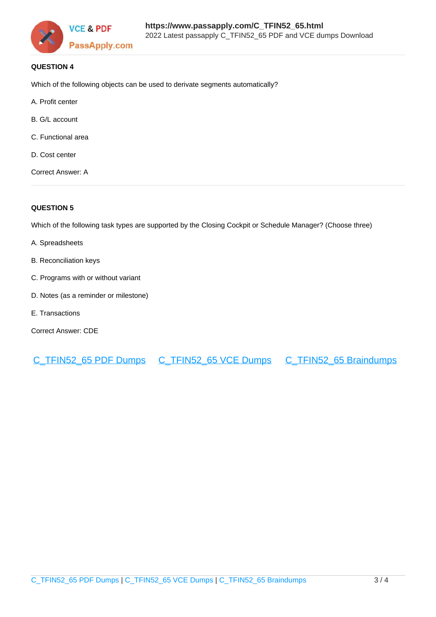

#### **QUESTION 4**

Which of the following objects can be used to derivate segments automatically?

- A. Profit center
- B. G/L account
- C. Functional area
- D. Cost center

Correct Answer: A

#### **QUESTION 5**

Which of the following task types are supported by the Closing Cockpit or Schedule Manager? (Choose three)

- A. Spreadsheets
- B. Reconciliation keys
- C. Programs with or without variant
- D. Notes (as a reminder or milestone)
- E. Transactions
- Correct Answer: CDE

[C\\_TFIN52\\_65 PDF Dumps](https://www.passapply.com/C_TFIN52_65.html) [C\\_TFIN52\\_65 VCE Dumps](https://www.passapply.com/C_TFIN52_65.html) [C\\_TFIN52\\_65 Braindumps](https://www.passapply.com/C_TFIN52_65.html)